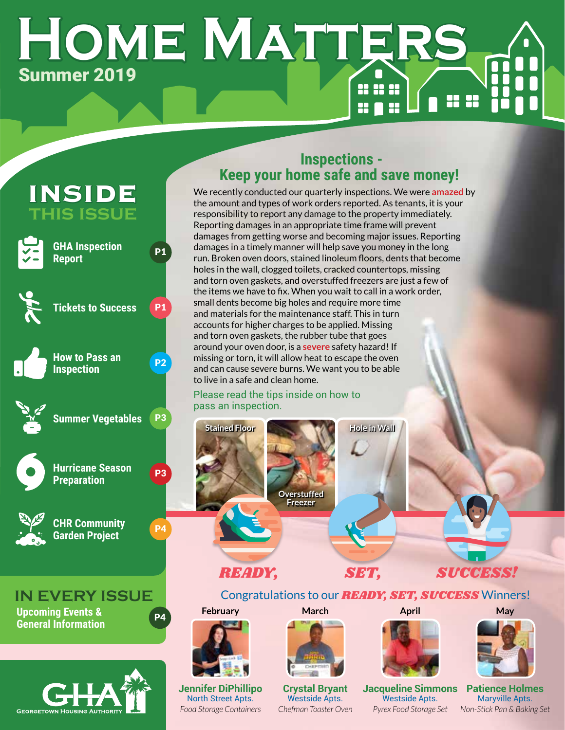# **Home Matters** Summer 2019 888



**GEORGETOWN HOUSING AUTHORIT** 

## **Inspections - Keep your home safe and save money!**

We recently conducted our quarterly inspections. We were **amazed** by the amount and types of work orders reported. As tenants, it is your responsibility to report any damage to the property immediately. Reporting damages in an appropriate time frame will prevent damages from getting worse and becoming major issues. Reporting damages in a timely manner will help save you money in the long run. Broken oven doors, stained linoleum floors, dents that become holes in the wall, clogged toilets, cracked countertops, missing and torn oven gaskets, and overstuffed freezers are just a few of the items we have to fix. When you wait to call in a work order, small dents become big holes and require more time and materials for the maintenance staff. This in turn accounts for higher charges to be applied. Missing and torn oven gaskets, the rubber tube that goes around your oven door, is a **severe** safety hazard! If missing or torn, it will allow heat to escape the oven and can cause severe burns. We want you to be able to live in a safe and clean home.

#### Please read the tips inside on how to pass an inspection.





## *READY, SET, SUCCESS!*

## Congratulations to our *READY, SET, SUCCESS* Winners!

## **February**



**Jennifer DiPhillipo** North Street Apts. *Food Storage Containers*



**Crystal Bryant** Westside Apts. *Chefman Toaster Oven*



**April**

**Jacqueline Simmons** Westside Apts. *Pyrex Food Storage Set*



**Patience Holmes** Maryville Apts. *Non-Stick Pan & Baking Set*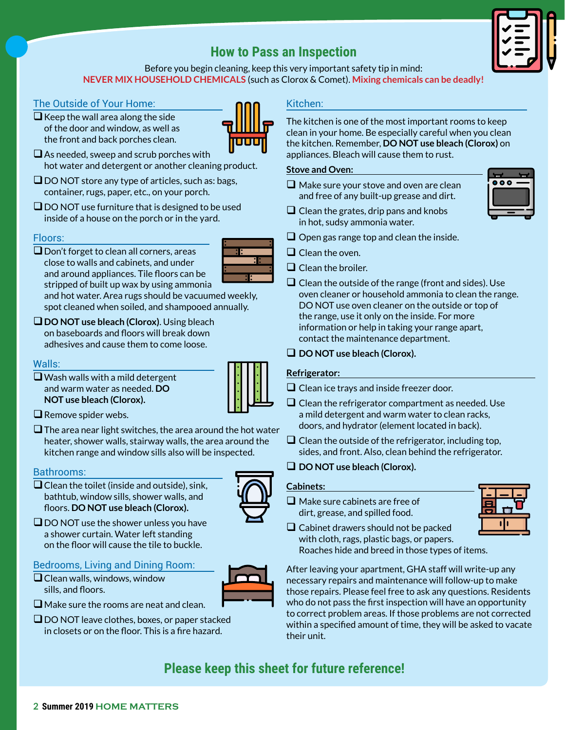## **How to Pass an Inspection**



Before you begin cleaning, keep this very important safety tip in mind: **NEVER MIX HOUSEHOLD CHEMICALS** (such as Clorox & Comet). **Mixing chemicals can be deadly!**

#### The Outside of Your Home:

- $\Box$  Keep the wall area along the side of the door and window, as well as the front and back porches clean.
- $\square$  As needed, sweep and scrub porches with hot water and detergent or another cleaning product.
- $\Box$  DO NOT store any type of articles, such as: bags, container, rugs, paper, etc., on your porch.
- $\square$  DO NOT use furniture that is designed to be used inside of a house on the porch or in the yard.

#### Floors:

 $\square$  Don't forget to clean all corners, areas close to walls and cabinets, and under and around appliances. Tile floors can be stripped of built up wax by using ammonia

and hot water. Area rugs should be vacuumed weekly, spot cleaned when soiled, and shampooed annually.

**DO NOT use bleach (Clorox)**. Using bleach on baseboards and floors will break down adhesives and cause them to come loose.

#### Walls:

- $\Box$  Wash walls with a mild detergent and warm water as needed. **DO NOT use bleach (Clorox).**
- $\square$  Remove spider webs.
- $\square$  The area near light switches, the area around the hot water heater, shower walls, stairway walls, the area around the kitchen range and window sills also will be inspected.

#### Bathrooms:

 $\Box$  Clean the toilet (inside and outside), sink, bathtub, window sills, shower walls, and floors. **DO NOT use bleach (Clorox).**



 $\square$  DO NOT use the shower unless you have a shower curtain. Water left standing on the floor will cause the tile to buckle.

#### Bedrooms, Living and Dining Room:

 $\Box$  Clean walls, windows, window sills, and floors.



- $\square$  Make sure the rooms are neat and clean.
- $\Box$  DO NOT leave clothes, boxes, or paper stacked in closets or on the floor. This is a fire hazard.

#### Kitchen:

The kitchen is one of the most important rooms to keep clean in your home. Be especially careful when you clean the kitchen. Remember, **DO NOT use bleach (Clorox)** on appliances. Bleach will cause them to rust.

#### **Stove and Oven:**

 $\Box$  Make sure your stove and oven are clean and free of any built-up grease and dirt.



- $\Box$  Clean the grates, drip pans and knobs in hot, sudsy ammonia water.
- $\Box$  Open gas range top and clean the inside.
- $\Box$  Clean the oven.
- $\Box$  Clean the broiler.
- $\Box$  Clean the outside of the range (front and sides). Use oven cleaner or household ammonia to clean the range. DO NOT use oven cleaner on the outside or top of the range, use it only on the inside. For more information or help in taking your range apart, contact the maintenance department.
- $\Box$  DO NOT use bleach (Clorox).

#### **Refrigerator:**

- $\Box$  Clean ice trays and inside freezer door.
- $\Box$  Clean the refrigerator compartment as needed. Use a mild detergent and warm water to clean racks, doors, and hydrator (element located in back).
- $\Box$  Clean the outside of the refrigerator, including top, sides, and front. Also, clean behind the refrigerator.
- **DO NOT use bleach (Clorox).**

#### **Cabinets:**

 $\Box$  Make sure cabinets are free of dirt, grease, and spilled food.



 $\Box$  Cabinet drawers should not be packed with cloth, rags, plastic bags, or papers. Roaches hide and breed in those types of items.

After leaving your apartment, GHA staff will write-up any necessary repairs and maintenance will follow-up to make those repairs. Please feel free to ask any questions. Residents who do not pass the first inspection will have an opportunity to correct problem areas. If those problems are not corrected within a specified amount of time, they will be asked to vacate their unit.

## **Please keep this sheet for future reference!**



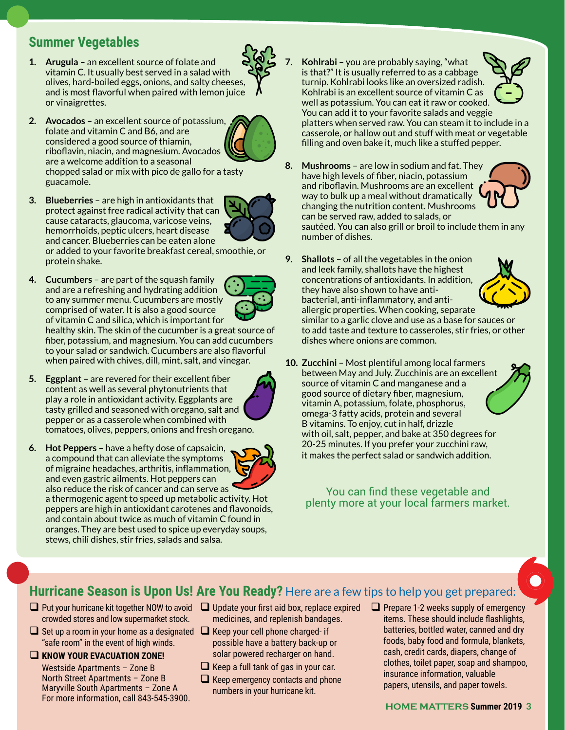## **Summer Vegetables**

- **1. Arugula** an excellent source of folate and vitamin C. It usually best served in a salad with olives, hard-boiled eggs, onions, and salty cheeses, and is most flavorful when paired with lemon juice or vinaigrettes.
- **2. Avocados** an excellent source of potassium, folate and vitamin C and B6, and are considered a good source of thiamin, riboflavin, niacin, and magnesium. Avocados are a welcome addition to a seasonal chopped salad or mix with pico de gallo for a tasty guacamole.
- **3. Blueberries** are high in antioxidants that protect against free radical activity that can cause cataracts, glaucoma, varicose veins, hemorrhoids, peptic ulcers, heart disease and cancer. Blueberries can be eaten alone or added to your favorite breakfast cereal, smoothie, or protein shake.
- **4. Cucumbers** are part of the squash family and are a refreshing and hydrating addition to any summer menu. Cucumbers are mostly comprised of water. It is also a good source of vitamin C and silica, which is important for

healthy skin. The skin of the cucumber is a great source of fiber, potassium, and magnesium. You can add cucumbers to your salad or sandwich. Cucumbers are also flavorful when paired with chives, dill, mint, salt, and vinegar.

- **5. Eggplant** are revered for their excellent fiber content as well as several phytonutrients that play a role in antioxidant activity. Eggplants are tasty grilled and seasoned with oregano, salt and pepper or as a casserole when combined with tomatoes, olives, peppers, onions and fresh oregano.
- **6. Hot Peppers** have a hefty dose of capsaicin, a compound that can alleviate the symptoms of migraine headaches, arthritis, inflammation, and even gastric ailments. Hot peppers can also reduce the risk of cancer and can serve as a thermogenic agent to speed up metabolic activity. Hot peppers are high in antioxidant carotenes and flavonoids, and contain about twice as much of vitamin C found in oranges. They are best used to spice up everyday soups,

stews, chili dishes, stir fries, salads and salsa.

- **7. Kohlrabi** you are probably saying, "what is that?" It is usually referred to as a cabbage turnip. Kohlrabi looks like an oversized radish. Kohlrabi is an excellent source of vitamin C as well as potassium. You can eat it raw or cooked. You can add it to your favorite salads and veggie platters when served raw. You can steam it to include in a casserole, or hallow out and stuff with meat or vegetable filling and oven bake it, much like a stuffed pepper.
- **8. Mushrooms** are low in sodium and fat. They have high levels of fiber, niacin, potassium and riboflavin. Mushrooms are an excellent way to bulk up a meal without dramatically changing the nutrition content. Mushrooms can be served raw, added to salads, or sautéed. You can also grill or broil to include them in any
	- number of dishes.
- **9. Shallots** of all the vegetables in the onion and leek family, shallots have the highest concentrations of antioxidants. In addition, they have also shown to have antibacterial, anti-inflammatory, and antiallergic properties. When cooking, separate similar to a garlic clove and use as a base for sauces or to add taste and texture to casseroles, stir fries, or other dishes where onions are common.
- **10. Zucchini** Most plentiful among local farmers between May and July. Zucchinis are an excellent source of vitamin C and manganese and a good source of dietary fiber, magnesium, vitamin A, potassium, folate, phosphorus, omega-3 fatty acids, protein and several B vitamins. To enjoy, cut in half, drizzle with oil, salt, pepper, and bake at 350 degrees for 20-25 minutes. If you prefer your zucchini raw, it makes the perfect salad or sandwich addition.

You can find these vegetable and plenty more at your local farmers market.

## **Hurricane Season is Upon Us! Are You Ready?** Here are a few tips to help you get prepared:

- $\Box$  Put your hurricane kit together NOW to avoid  $\Box$  Update your first aid box, replace expired crowded stores and low supermarket stock.
- $\Box$  Set up a room in your home as a designated  $\Box$  Keep your cell phone charged- if "safe room" in the event of high winds.
- **KNOW YOUR EVACUATION ZONE!**

Westside Apartments – Zone B North Street Apartments – Zone B Maryville South Apartments – Zone A For more information, call 843-545-3900.

- medicines, and replenish bandages.
- possible have a battery back-up or solar powered recharger on hand.
- $\Box$  Keep a full tank of gas in your car.
- $\Box$  Keep emergency contacts and phone numbers in your hurricane kit.
- $\Box$  Prepare 1-2 weeks supply of emergency items. These should include flashlights, batteries, bottled water, canned and dry foods, baby food and formula, blankets, cash, credit cards, diapers, change of clothes, toilet paper, soap and shampoo, insurance information, valuable papers, utensils, and paper towels.